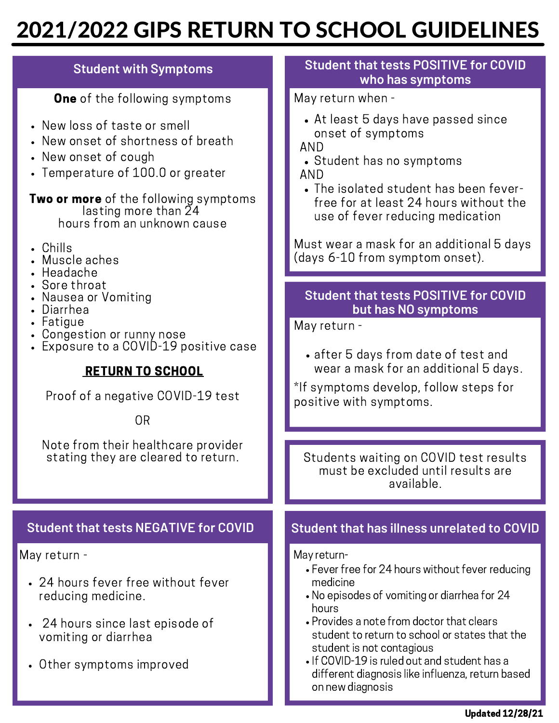# 2021/2022 GIPS RETURN TO SCHOOL GUIDELINES

| <b>Student with Symptoms</b>                                                                                                                                                                                                                                                              | <b>Student that tests POSITIVE for COVID</b><br>who has symptoms                                                                                                                                                                                                                                                                        |
|-------------------------------------------------------------------------------------------------------------------------------------------------------------------------------------------------------------------------------------------------------------------------------------------|-----------------------------------------------------------------------------------------------------------------------------------------------------------------------------------------------------------------------------------------------------------------------------------------------------------------------------------------|
| <b>One</b> of the following symptoms                                                                                                                                                                                                                                                      | May return when -                                                                                                                                                                                                                                                                                                                       |
| • New loss of taste or smell<br>• New onset of shortness of breath<br>• New onset of cough<br>• Temperature of 100.0 or greater                                                                                                                                                           | • At least 5 days have passed since<br>onset of symptoms<br>AND<br>• Student has no symptoms<br>AND<br>• The isolated student has been fever-<br>free for at least 24 hours without the<br>use of fever reducing medication                                                                                                             |
| <b>Two or more</b> of the following symptoms<br>lasting more than 24<br>hours from an unknown cause                                                                                                                                                                                       |                                                                                                                                                                                                                                                                                                                                         |
| • Chills<br>• Muscle aches<br>• Headache                                                                                                                                                                                                                                                  | Must wear a mask for an additional 5 days<br>(days 6-10 from symptom onset).                                                                                                                                                                                                                                                            |
| • Sore throat<br>Nausea or Vomiting<br>Diarrhea<br>Fatigue<br>Congestion or runny nose<br>Exposure to a COVID-19 positive case<br><b>RETURN TO SCHOOL</b><br>Proof of a negative COVID-19 test<br><b>OR</b><br>Note from their healthcare provider<br>stating they are cleared to return. | <b>Student that tests POSITIVE for COVID</b><br>but has NO symptoms<br>May return -<br>• after 5 days from date of test and<br>wear a mask for an additional 5 days.<br>*If symptoms develop, follow steps for<br>positive with symptoms.<br>Students waiting on COVID test results<br>must be excluded until results are<br>available. |
| <b>Student that tests NEGATIVE for COVID</b>                                                                                                                                                                                                                                              | <b>Student that has illness unrelated to COVID</b>                                                                                                                                                                                                                                                                                      |
| May return -                                                                                                                                                                                                                                                                              | May return-<br>• Fever free for 24 hours without fever reducing                                                                                                                                                                                                                                                                         |
| • 24 hours fever free without fever<br>reducing medicine.<br>• 24 hours since last episode of                                                                                                                                                                                             | medicine<br>• No episodes of vomiting or diarrhea for 24<br>hours<br>• Provides a note from doctor that clears                                                                                                                                                                                                                          |
| vomiting or diarrhea<br>• Other symptoms improved                                                                                                                                                                                                                                         | student to return to school or states that the<br>student is not contagious<br>• If COVID-19 is ruled out and student has a<br>different diagnosis like influenza, return based<br>on new diagnosis                                                                                                                                     |